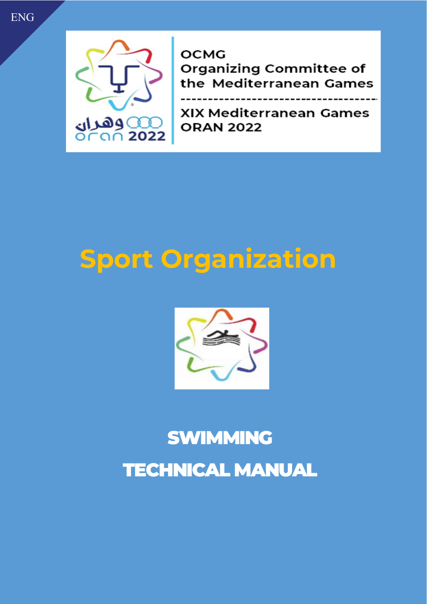# ENG



**OCMG Organizing Committee of** the Mediterranean Games

 $- - - - - -$ 

XIX Mediterranean Games **ORAN 2022** 

# **Sport Organization**



# SWIMMING TECHNICAL MANUAL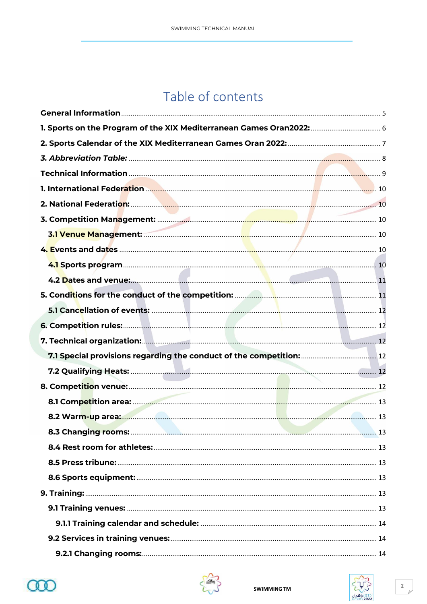# Table of contents



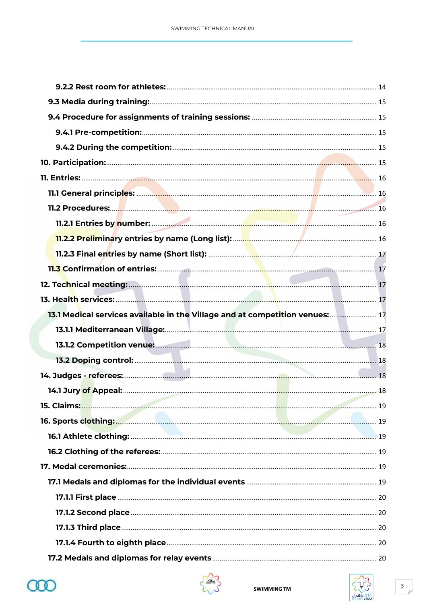| 13.1 Medical services available in the Village and at competition venues: 17 |  |
|------------------------------------------------------------------------------|--|
|                                                                              |  |
|                                                                              |  |
|                                                                              |  |
|                                                                              |  |
|                                                                              |  |
|                                                                              |  |
|                                                                              |  |
|                                                                              |  |
|                                                                              |  |
|                                                                              |  |
|                                                                              |  |
|                                                                              |  |
|                                                                              |  |
|                                                                              |  |
|                                                                              |  |
|                                                                              |  |



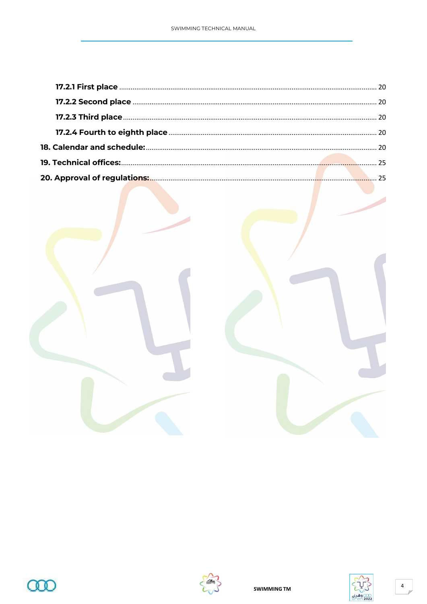





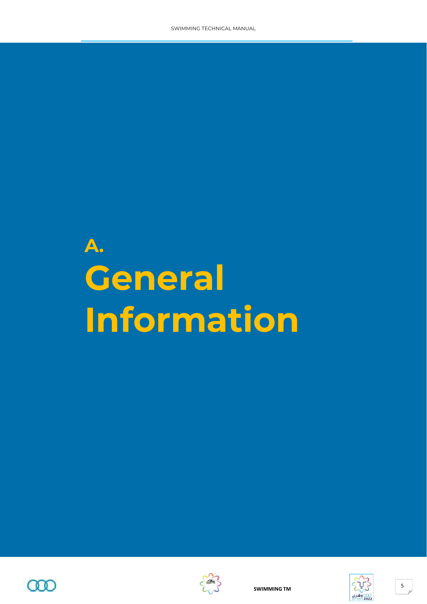# **A. General Information**





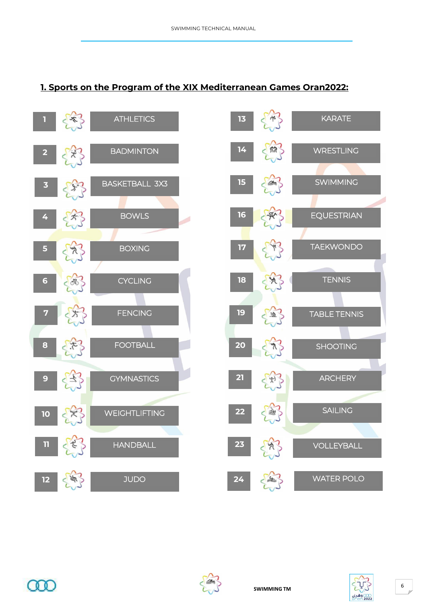### <span id="page-5-0"></span>**1. Sports on the Program of the XIX Mediterranean Games Oran2022:**









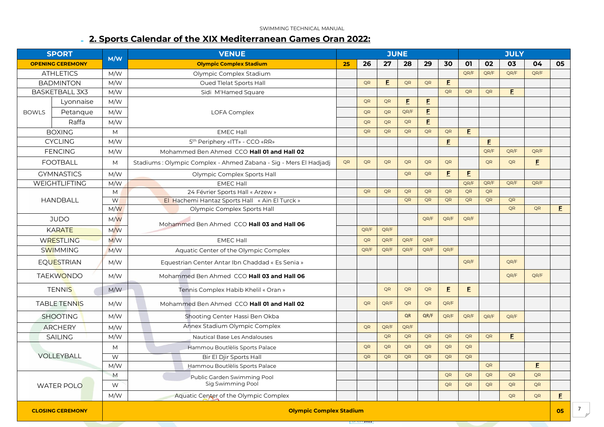#### **2. Sports Calendar of the XIX Mediterranean Games Oran 2022:**

|                       | <b>JUNE</b><br><b>SPORT</b><br><b>VENUE</b>                      |     | <b>JULY</b>                                                      |    |           |           |           |             |           |             |                                             |             |             |    |
|-----------------------|------------------------------------------------------------------|-----|------------------------------------------------------------------|----|-----------|-----------|-----------|-------------|-----------|-------------|---------------------------------------------|-------------|-------------|----|
|                       | M/W<br><b>OPENING CEREMONY</b><br><b>Olympic Complex Stadium</b> |     | 25                                                               | 26 | 27        | 28        | 29        | 30          | 01        | 02          | 03                                          | 04          | 05          |    |
|                       | <b>ATHLETICS</b>                                                 | M/W | Olympic Complex Stadium                                          |    |           |           |           |             |           | QR/F        | QR/F                                        | QR/F        | OR/F        |    |
|                       | <b>BADMINTON</b>                                                 | M/W | Oued Tlelat Sports Hall                                          |    | QR        | E         | QR        | QR          | E         |             |                                             |             |             |    |
|                       | <b>BASKETBALL 3X3</b>                                            | M/W | Sidi M'Hamed Square                                              |    |           |           |           |             | QR        | QR          | QR                                          | $\mathsf E$ |             |    |
|                       | Lyonnaise                                                        | M/W |                                                                  |    | QR        | QR        | E.        | $\mathsf E$ |           |             |                                             |             |             |    |
| <b>BOWLS</b>          | Petangue                                                         | M/W | <b>LOFA Complex</b>                                              |    | QR        | QR        | QR/F      | E           |           |             |                                             |             |             |    |
|                       | Raffa                                                            | M/W |                                                                  |    | QR        | QR        | QR        | $\mathsf E$ |           |             |                                             |             |             |    |
|                       | <b>BOXING</b>                                                    | M   | <b>EMEC Hall</b>                                                 |    | QR        | QR        | QR        | QR          | QR        | $\mathsf E$ |                                             |             |             |    |
|                       | <b>CYCLING</b>                                                   | M/W | 5 <sup>th</sup> Periphery «ITT» - CCO «RR»                       |    |           |           |           |             | F         |             | $\mathbf{E}% _{0}$                          |             |             |    |
| <b>FENCING</b><br>M/W |                                                                  |     | Mohammed Ben Ahmed CCO Hall 01 and Hall 02                       |    |           |           |           |             |           |             | QR/F                                        | QR/F        | QR/F        |    |
|                       | <b>FOOTBALL</b>                                                  | M   | Stadiums: Olympic Complex - Ahmed Zabana - Sig - Mers El Hadjadj | QR | <b>OR</b> | <b>OR</b> | QR        | QR          | QR        |             | QR                                          | QR          | $\mathsf E$ |    |
|                       | <b>GYMNASTICS</b>                                                | M/W | Olympic Complex Sports Hall                                      |    |           |           | QR        | QR          | E         | $\mathsf E$ |                                             |             |             |    |
|                       | <b>WEIGHTLIFTING</b>                                             | M/W | <b>EMEC Hall</b>                                                 |    |           |           |           |             |           | QR/F        | QR/F                                        | QR/F        | QR/F        |    |
|                       |                                                                  | M   | 24 Février Sports Hall « Arzew »                                 |    | QR        | QR        | QR        | QR          | QR        | QR          | QR                                          |             |             |    |
|                       | <b>HANDBALL</b>                                                  | W   | El Hachemi Hantaz Sports Hall « Ain El Turck »                   |    |           |           | QR        | QR          | QR        | QR          | QR                                          | QR          |             |    |
|                       |                                                                  | M/W | Olympic Complex Sports Hall                                      |    |           |           |           |             |           |             |                                             | QR          | QR          | E. |
|                       | <b>JUDO</b><br>M/W                                               |     |                                                                  |    |           |           | QR/F      | QR/F        | QR/F      |             |                                             |             |             |    |
|                       | <b>KARATE</b>                                                    | M/W | Mohammed Ben Ahmed CCO Hall 03 and Hall 06                       |    | QR/F      | QR/F      |           |             |           |             |                                             |             |             |    |
|                       | <b>WRESTLING</b>                                                 | M/W | <b>EMEC Hall</b>                                                 |    | QR        | QR/F      | QR/F      | QR/F        |           |             |                                             |             |             |    |
|                       | <b>SWIMMING</b>                                                  | M/W | Aquatic Center of the Olympic Complex                            |    | QR/F      | QR/F      | QR/F      | QR/F        | QR/F      |             |                                             |             |             |    |
|                       | <b>EQUESTRIAN</b>                                                | M/W | Equestrian Center Antar Ibn Chaddad « Es Senia »                 |    |           |           |           |             |           | QR/F        |                                             | QR/F        |             |    |
|                       | <b>TAEKWONDO</b>                                                 | M/W | Mohammed Ben Ahmed CCO Hall 03 and Hall 06                       |    |           |           |           |             |           |             |                                             | QR/F        | QR/F        |    |
|                       | <b>TENNIS</b>                                                    | M/W | Tennis Complex Habib Khelil « Oran »                             |    |           | QR        | QR        | QR          | E         | E           |                                             |             |             |    |
|                       | <b>TABLE TENNIS</b>                                              | M/W | Mohammed Ben Ahmed CCO Hall 01 and Hall 02                       |    | QR        | QR/F      | <b>QR</b> | QR          | QR/F      |             |                                             |             |             |    |
|                       | <b>SHOOTING</b>                                                  | M/W | Shooting Center Hassi Ben Okba                                   |    |           |           | QR        | QR/F        | QR/F      | QR/F        | QR/F                                        | QR/F        |             |    |
|                       | <b>ARCHERY</b>                                                   | M/W | Annex Stadium Olympic Complex                                    |    | QR        | QR/F      | QR/F      |             |           |             |                                             |             |             |    |
|                       | <b>SAILING</b>                                                   | M/W | Nautical Base Les Andalouses                                     |    |           | QR        | QR        | QR          | <b>QR</b> | QR          | QR                                          | $\mathsf E$ |             |    |
|                       |                                                                  | M   | Hammou Boutlèlis Sports Palace                                   |    | QR        | QR        | QR        | QR          | <b>QR</b> | QR          |                                             |             |             |    |
|                       | <b>VOLLEYBALL</b><br>W<br>Bir El Djir Sports Hall                |     |                                                                  | QR | QR        | QR        | QR        | <b>QR</b>   | QR        |             |                                             |             |             |    |
|                       |                                                                  | M/W | Hammou Boutlèlis Sports Palace                                   |    |           |           |           |             |           |             | QR                                          |             | E.          |    |
|                       |                                                                  | M   | Public Garden Swimming Pool                                      |    |           |           |           |             | QR        | QR          | $\mathsf{QR}% _{\mathsf{CL}}^{\mathsf{CL}}$ | QR          | QR          |    |
|                       | <b>WATER POLO</b>                                                | W   | Sig Swimming Pool                                                |    |           |           |           |             | QR        | QR          | QR                                          | QR          | QR          |    |
|                       |                                                                  | M/W | Aquatic Center of the Olympic Complex                            |    |           |           |           |             |           |             |                                             | QR          | QR          | E. |
|                       | <b>CLOSING CEREMONY</b>                                          |     | <b>Olympic Complex Stadium</b>                                   |    |           |           | 05        |             |           |             |                                             |             |             |    |

 $2022$ 

 $\overline{a}$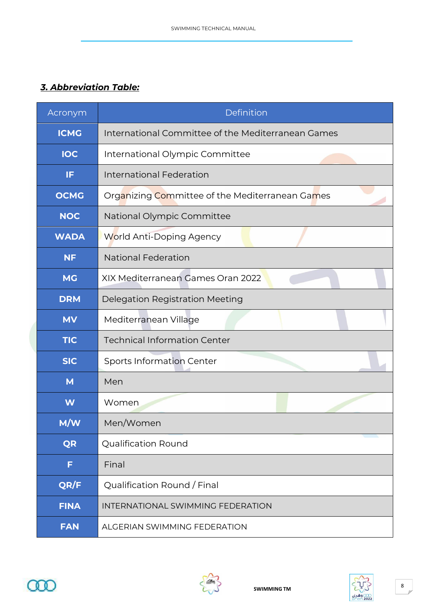### <span id="page-7-0"></span>*3. Abbreviation Table:*

| Acronym     | Definition                                         |  |
|-------------|----------------------------------------------------|--|
| <b>ICMG</b> | International Committee of the Mediterranean Games |  |
| <b>IOC</b>  | International Olympic Committee                    |  |
| IF          | <b>International Federation</b>                    |  |
| <b>OCMG</b> | Organizing Committee of the Mediterranean Games    |  |
| <b>NOC</b>  | National Olympic Committee                         |  |
| <b>WADA</b> | World Anti-Doping Agency                           |  |
| <b>NF</b>   | <b>National Federation</b>                         |  |
| <b>MG</b>   | XIX Mediterranean Games Oran 2022                  |  |
| <b>DRM</b>  | Delegation Registration Meeting                    |  |
| <b>MV</b>   | Mediterranean Village                              |  |
| <b>TIC</b>  | <b>Technical Information Center</b>                |  |
| <b>SIC</b>  | <b>Sports Information Center</b>                   |  |
| M           | Men                                                |  |
| W           | Women                                              |  |
| M/W         | Men/Women                                          |  |
| <b>QR</b>   | <b>Qualification Round</b>                         |  |
| F           | Final                                              |  |
| QR/F        | Qualification Round / Final                        |  |
| <b>FINA</b> | INTERNATIONAL SWIMMING FEDERATION                  |  |
| <b>FAN</b>  | ALGERIAN SWIMMING FEDERATION                       |  |





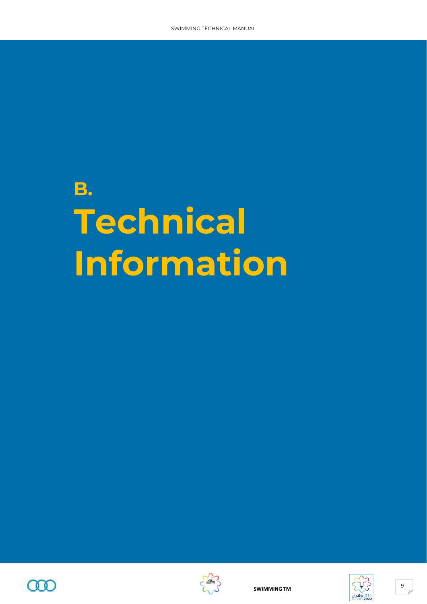# **B. Technical Information**





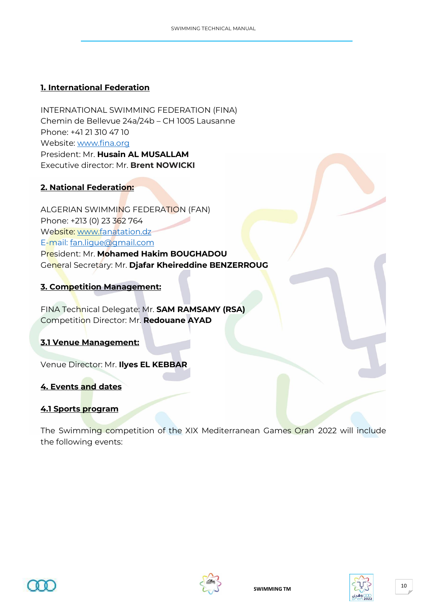#### <span id="page-9-0"></span>**1. International Federation**

INTERNATIONAL SWIMMING FEDERATION (FINA) Chemin de Bellevue 24a/24b – CH 1005 Lausanne Phone: +41 21 310 47 10 Website: [www.fina.org](http://www.fina.org/) President: Mr. **Husain AL MUSALLAM** Executive director: Mr. **Brent NOWICKI**

#### <span id="page-9-1"></span>**2. National Federation:**

ALGERIAN SWIMMING FEDERATION (FAN) Phone: +213 (0) 23 362 764 Website: [www.fanatation.dz](http://www.fanatation.dz/) E-mail: [fan.ligue@gmail.com](mailto:fan.ligue@gmail.com) President: Mr. **Mohamed Hakim BOUGHADOU** General Secretary: Mr. **Djafar Kheireddine BENZERROUG**

#### <span id="page-9-2"></span>**3. Competition Management:**

FINA Technical Delegate: Mr. **SAM RAMSAMY (RSA)** Competition Director: Mr. **Redouane AYAD**

#### <span id="page-9-3"></span>**3.1 Venue Management:**

Venue Director: Mr. **Ilyes EL KEBBAR**

#### <span id="page-9-4"></span>**4. Events and dates**

#### <span id="page-9-5"></span>**4.1 Sports program**

The Swimming competition of the XIX Mediterranean Games Oran 2022 will include the following events:



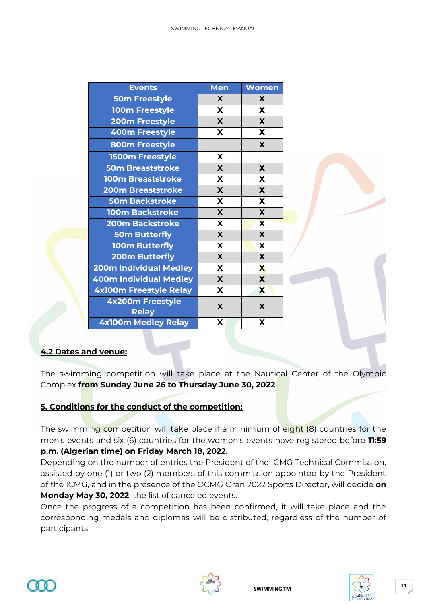| <b>Events</b>                    | <b>Men</b> | <b>Women</b>            |
|----------------------------------|------------|-------------------------|
| <b>50m Freestyle</b>             | X          | X                       |
| <b>100m Freestyle</b>            | X          | X                       |
| <b>200m Freestyle</b>            | X          | X                       |
| 400m Freestyle                   | X          | X                       |
| 800m Freestyle                   |            | X                       |
| <b>1500m Freestyle</b>           | X          |                         |
| <b>50m Breaststroke</b>          | X          | X                       |
| <b>100m Breaststroke</b>         | X          | X                       |
| <b>200m Breaststroke</b>         | X          | X                       |
| <b>50m Backstroke</b>            | X          | X                       |
| <b>100m Backstroke</b>           | X          | X                       |
| <b>200m Backstroke</b>           | X          | $\overline{\mathbf{X}}$ |
| <b>50m Butterfly</b>             | X          | X                       |
| <b>100m Butterfly</b>            | X          | X                       |
| <b>200m Butterfly</b>            | X          | X                       |
| <b>200m Individual Medley</b>    | X          | $\overline{\mathbf{X}}$ |
| <b>400m Individual Medley</b>    | X          | X                       |
| <b>4x100m Freestyle Relay</b>    | X          | X                       |
| 4x200m Freestyle<br><b>Relay</b> | X          | X                       |
| <b>4x100m Medley Relay</b>       | X          | X                       |

#### <span id="page-10-0"></span>**4.2 Dates and venue:**

The swimming competition will take place at the Nautical Center of the Olympic Complex **from Sunday June 26 to Thursday June 30, 2022**

#### <span id="page-10-1"></span>**5. Conditions for the conduct of the competition:**

The swimming competition will take place if a minimum of eight (8) countries for the men's events and six (6) countries for the women's events have registered before **11:59 p.m. (Algerian time) on Friday March 18, 2022.**

Depending on the number of entries the President of the ICMG Technical Commission, assisted by one (1) or two (2) members of this commission appointed by the President of the ICMG, and in the presence of the OCMG Oran 2022 Sports Director, will decide **on Monday May 30, 2022**, the list of canceled events.

Once the progress of a competition has been confirmed, it will take place and the corresponding medals and diplomas will be distributed, regardless of the number of participants



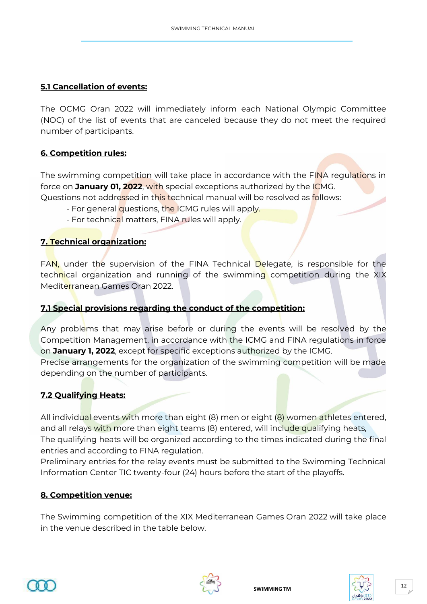#### <span id="page-11-0"></span>**5.1 Cancellation of events:**

The OCMG Oran 2022 will immediately inform each National Olympic Committee (NOC) of the list of events that are canceled because they do not meet the required number of participants.

#### <span id="page-11-1"></span>**6. Competition rules:**

The swimming competition will take place in accordance with the FINA regulations in force on **January 01, 2022**, with special exceptions authorized by the ICMG. Questions not addressed in this technical manual will be resolved as follows:

- For general questions, the ICMG rules will apply.
- For technical matters, FINA rules will apply.

#### <span id="page-11-2"></span>**7. Technical organization:**

FAN, under the supervision of the FINA Technical Delegate, is responsible for the technical organization and running of the swimming competition during the XIX Mediterranean Games Oran 2022.

#### <span id="page-11-3"></span>**7.1 Special provisions regarding the conduct of the competition:**

Any problems that may arise before or during the events will be resolved by the Competition Management, in accordance with the ICMG and FINA regulations in force on **January 1, 2022**, except for specific exceptions authorized by the ICMG.

Precise arrangements for the organization of the swimming competition will be made depending on the number of participants.

#### <span id="page-11-4"></span>**7.2 Qualifying Heats:**

All individual events with more than eight (8) men or eight (8) women athletes entered, and all relays with more than eight teams (8) entered, will include qualifying heats, The qualifying heats will be organized according to the times indicated during the final entries and according to FINA regulation.

Preliminary entries for the relay events must be submitted to the Swimming Technical Information Center TIC twenty-four (24) hours before the start of the playoffs.

#### <span id="page-11-5"></span>**8. Competition venue:**

The Swimming competition of the XIX Mediterranean Games Oran 2022 will take place in the venue described in the table below.





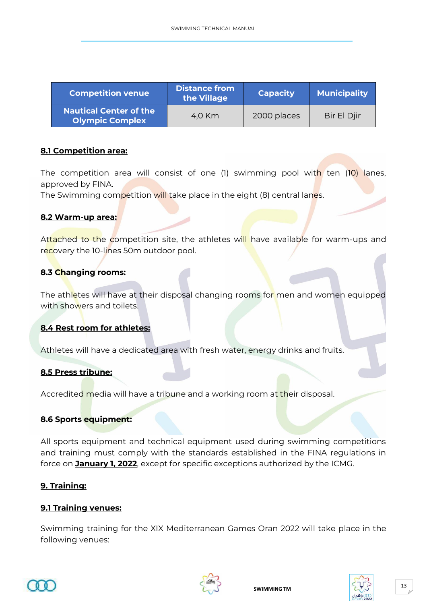| <b>Competition venue</b>                                | <b>Distance from</b><br>the Village | <b>Capacity</b> | <b>Municipality</b> |
|---------------------------------------------------------|-------------------------------------|-----------------|---------------------|
| <b>Nautical Center of the</b><br><b>Olympic Complex</b> | 4.0 Km                              | 2000 places     | Bir El Djir         |

#### <span id="page-12-0"></span>**8.1 Competition area:**

The competition area will consist of one (1) swimming pool with ten (10) lanes, approved by FINA.

The Swimming competition will take place in the eight (8) central lanes.

#### <span id="page-12-1"></span>**8.2 Warm-up area:**

Attached to the competition site, the athletes will have available for warm-ups and recovery the 10-lines 50m outdoor pool.

#### <span id="page-12-2"></span>**8.3 Changing rooms:**

The athletes will have at their disposal changing rooms for men and women equipped with showers and toilets.

#### <span id="page-12-3"></span>**8.4 Rest room for athletes:**

Athletes will have a dedicated area with fresh water, energy drinks and fruits.

#### <span id="page-12-4"></span>**8.5 Press tribune:**

Accredited media will have a tribune and a working room at their disposal.

#### <span id="page-12-5"></span>**8.6 Sports equipment:**

All sports equipment and technical equipment used during swimming competitions and training must comply with the standards established in the FINA regulations in force on **January 1, 2022**, except for specific exceptions authorized by the ICMG.

#### <span id="page-12-6"></span>**9. Training:**

#### <span id="page-12-7"></span>**9.1 Training venues:**

Swimming training for the XIX Mediterranean Games Oran 2022 will take place in the following venues:



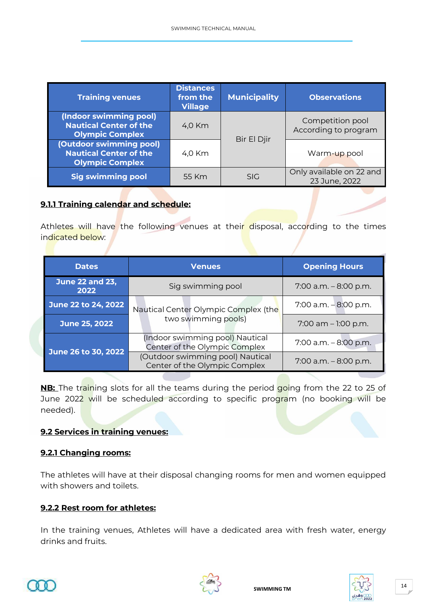| <b>Training venues</b>                                                             | <b>Distances</b><br>from the<br><b>Village</b> | <b>Municipality</b> | <b>Observations</b>                       |
|------------------------------------------------------------------------------------|------------------------------------------------|---------------------|-------------------------------------------|
| (Indoor swimming pool)<br><b>Nautical Center of the</b><br><b>Olympic Complex</b>  | 4,0 Km                                         | Bir El Djir         | Competition pool<br>According to program  |
| (Outdoor swimming pool)<br><b>Nautical Center of the</b><br><b>Olympic Complex</b> | 4.0 Km                                         |                     | Warm-up pool                              |
| <b>Sig swimming pool</b>                                                           | 55 Km                                          | <b>SIG</b>          | Only available on 22 and<br>23 June, 2022 |

#### <span id="page-13-0"></span>**9.1.1 Training calendar and schedule:**

Athletes will have the following venues at their disposal, according to the times indicated below:

|               | <b>Dates</b>                   | <b>Venues</b>                                                     | <b>Opening Hours</b>     |
|---------------|--------------------------------|-------------------------------------------------------------------|--------------------------|
|               | <b>June 22 and 23,</b><br>2022 | Sig swimming pool                                                 | $7:00$ a.m. $-8:00$ p.m. |
|               | June 22 to 24, 2022            | Nautical Center Olympic Complex (the                              | $7:00$ a.m. $-8:00$ p.m. |
| June 25, 2022 | two swimming pools)            | $7:00$ am $-1:00$ p.m.                                            |                          |
|               | June 26 to 30, 2022            | (Indoor swimming pool) Nautical<br>Center of the Olympic Complex  | 7:00 a.m. - 8:00 p.m.    |
|               |                                | (Outdoor swimming pool) Nautical<br>Center of the Olympic Complex | $7:00$ a.m. $-8:00$ p.m. |

**NB:** The training slots for all the teams during the period going from the 22 to 25 of June 2022 will be scheduled according to specific program (no booking will be needed).

#### <span id="page-13-1"></span>**9.2 Services in training venues:**

#### <span id="page-13-2"></span>**9.2.1 Changing rooms:**

The athletes will have at their disposal changing rooms for men and women equipped with showers and toilets.

#### <span id="page-13-3"></span>**9.2.2 Rest room for athletes:**

In the training venues, Athletes will have a dedicated area with fresh water, energy drinks and fruits.





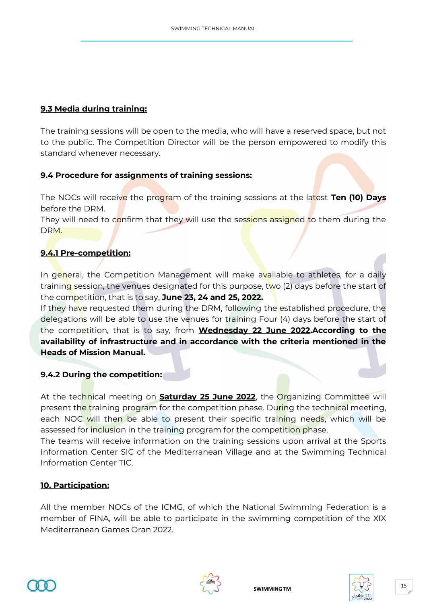#### <span id="page-14-0"></span>**9.3 Media during training:**

The training sessions will be open to the media, who will have a reserved space, but not to the public. The Competition Director will be the person empowered to modify this standard whenever necessary.

#### <span id="page-14-1"></span>**9.4 Procedure for assignments of training sessions:**

The NOCs will receive the program of the training sessions at the latest **Ten (10) Days** before the DRM.

They will need to confirm that they will use the sessions assigned to them during the DRM.

#### <span id="page-14-2"></span>**9.4.1 Pre-competition:**

In general, the Competition Management will make available to athletes, for a daily training session, the venues designated for this purpose, two (2) days before the start of the competition, that is to say, **June 23, 24 and 25, 2022.**

If they have requested them during the DRM, following the established procedure, the delegations will be able to use the venues for training Four (4) days before the start of the competition, that is to say, from **Wednesday 22 June 2022.According to the availability of infrastructure and in accordance with the criteria mentioned in the Heads of Mission Manual.**

#### <span id="page-14-3"></span>**9.4.2 During the competition:**

At the technical meeting on **Saturday 25 June 2022**, the Organizing Committee will present the training program for the competition phase. During the technical meeting, each NOC will then be able to present their specific training needs, which will be assessed for inclusion in the training program for the competition phase.

The teams will receive information on the training sessions upon arrival at the Sports Information Center SIC of the Mediterranean Village and at the Swimming Technical Information Center TIC.

#### <span id="page-14-4"></span>**10. Participation:**

All the member NOCs of the ICMG, of which the National Swimming Federation is a member of FINA, will be able to participate in the swimming competition of the XIX Mediterranean Games Oran 2022.





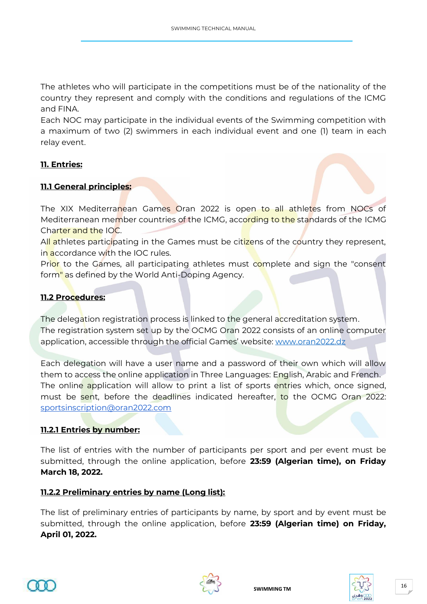The athletes who will participate in the competitions must be of the nationality of the country they represent and comply with the conditions and regulations of the ICMG and FINA.

Each NOC may participate in the individual events of the Swimming competition with a maximum of two (2) swimmers in each individual event and one (1) team in each relay event.

#### <span id="page-15-0"></span>**11. Entries:**

#### <span id="page-15-1"></span>**11.1 General principles:**

The XIX Mediterranean Games Oran 2022 is open to all athletes from NOCs of Mediterranean member countries of the ICMG, according to the standards of the ICMG Charter and the IOC.

All athletes participating in the Games must be citizens of the country they represent, in accordance with the IOC rules.

Prior to the Games, all participating athletes must complete and sign the "consent form" as defined by the World Anti-Doping Agency.

#### <span id="page-15-2"></span>**11.2 Procedures:**

The delegation registration process is linked to the general accreditation system. The registration system set up by the OCMG Oran 2022 consists of an online computer application, accessible through the official Games' website: [www.oran2022.dz](http://www.oran2022.dz/)

Each delegation will have a user name and a password of their own which will allow them to access the online application in Three Languages: English, Arabic and French. The online application will allow to print a list of sports entries which, once signed, must be sent, before the deadlines indicated hereafter, to the OCMG Oran 2022: [sportsinscription@oran2022.com](mailto:sportsinscription@oran2022.com)

#### <span id="page-15-3"></span>**11.2.1 Entries by number:**

The list of entries with the number of participants per sport and per event must be submitted, through the online application, before **23:59 (Algerian time), on Friday March 18, 2022.**

#### <span id="page-15-4"></span>**11.2.2 Preliminary entries by name (Long list):**

The list of preliminary entries of participants by name, by sport and by event must be submitted, through the online application, before **23:59 (Algerian time) on Friday, April 01, 2022.**





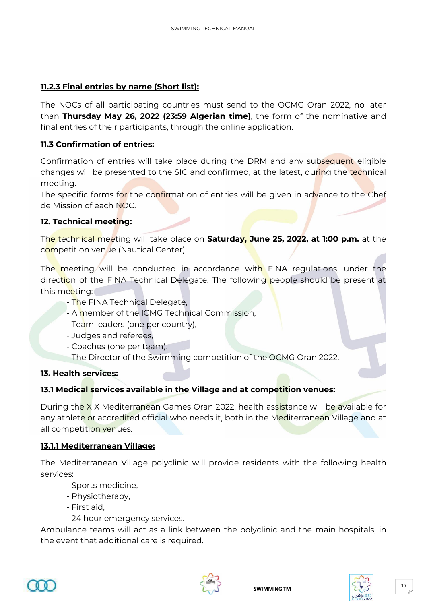#### <span id="page-16-0"></span>**11.2.3 Final entries by name (Short list):**

The NOCs of all participating countries must send to the OCMG Oran 2022, no later than **Thursday May 26, 2022 (23:59 Algerian time)**, the form of the nominative and final entries of their participants, through the online application.

#### <span id="page-16-1"></span>**11.3 Confirmation of entries:**

Confirmation of entries will take place during the DRM and any subsequent eligible changes will be presented to the SIC and confirmed, at the latest, during the technical meeting.

The specific forms for the confirmation of entries will be given in advance to the Chef de Mission of each NOC.

#### <span id="page-16-2"></span>**12. Technical meeting:**

The technical meeting will take place on **Saturday, June 25, 2022, at 1:00 p.m.** at the competition venue (Nautical Center).

The meeting will be conducted in accordance with FINA regulations, under the direction of the FINA Technical Delegate. The following people should be present at this meeting:

- The FINA Technical Delegate,
- A member of the ICMG Technical Commission,
- Team leaders (one per country),
- Judges and referees,
- Coaches (one per team),

- The Director of the Swimming competition of the OCMG Oran 2022.

#### <span id="page-16-3"></span>**13. Health services:**

#### <span id="page-16-4"></span>**13.1 Medical services available in the Village and at competition venues:**

During the XIX Mediterranean Games Oran 2022, health assistance will be available for any athlete or accredited official who needs it, both in the Mediterranean Village and at all competition venues.

#### <span id="page-16-5"></span>**13.1.1 Mediterranean Village:**

The Mediterranean Village polyclinic will provide residents with the following health services:

- Sports medicine,
- Physiotherapy,
- First aid,
- 24 hour emergency services.

Ambulance teams will act as a link between the polyclinic and the main hospitals, in the event that additional care is required.





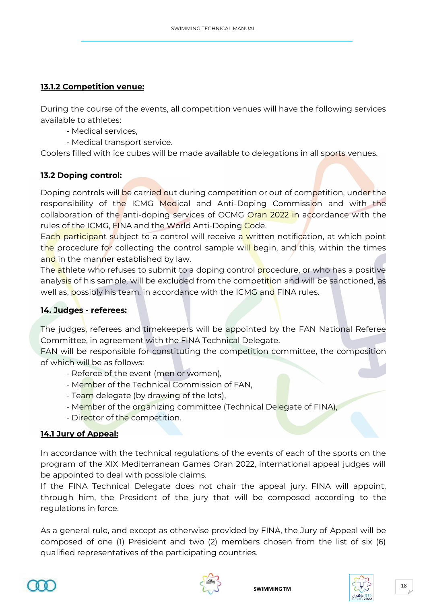#### <span id="page-17-0"></span>**13.1.2 Competition venue:**

During the course of the events, all competition venues will have the following services available to athletes:

- Medical services,
- Medical transport service.

Coolers filled with ice cubes will be made available to delegations in all sports venues.

#### <span id="page-17-1"></span>**13.2 Doping control:**

Doping controls will be carried out during competition or out of competition, under the responsibility of the ICMG Medical and Anti-Doping Commission and with the collaboration of the anti-doping services of OCMG Oran 2022 in accordance with the rules of the ICMG, FINA and the World Anti-Doping Code.

Each participant subject to a control will receive a written notification, at which point the procedure for collecting the control sample will begin, and this, within the times and in the manner established by law.

The athlete who refuses to submit to a doping control procedure, or who has a positive analysis of his sample, will be excluded from the competition and will be sanctioned, as well as, possibly his team, in accordance with the ICMG and FINA rules.

#### <span id="page-17-2"></span>**14. Judges - referees:**

The judges, referees and timekeepers will be appointed by the FAN National Referee Committee, in agreement with the FINA Technical Delegate.

FAN will be responsible for constituting the competition committee, the composition of which will be as follows:

- Referee of the event (men or women),
- Member of the Technical Commission of FAN,
- Team delegate (by drawing of the lots),
- Member of the organizing committee (Technical Delegate of FINA),
- Director of the competition.

#### <span id="page-17-3"></span>**14.1 Jury of Appeal:**

In accordance with the technical regulations of the events of each of the sports on the program of the XIX Mediterranean Games Oran 2022, international appeal judges will be appointed to deal with possible claims.

If the FINA Technical Delegate does not chair the appeal jury, FINA will appoint, through him, the President of the jury that will be composed according to the regulations in force.

As a general rule, and except as otherwise provided by FINA, the Jury of Appeal will be composed of one (1) President and two (2) members chosen from the list of six (6) qualified representatives of the participating countries.





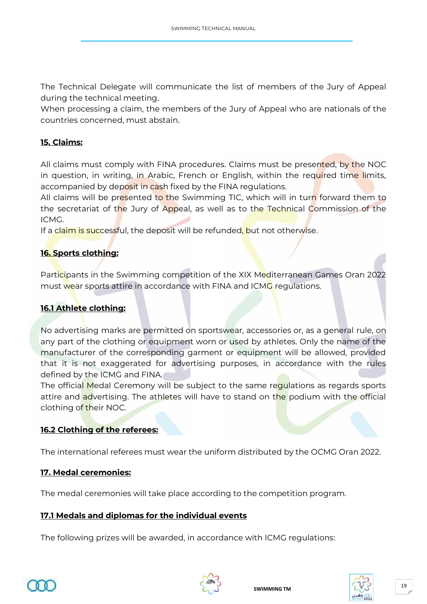The Technical Delegate will communicate the list of members of the Jury of Appeal during the technical meeting.

When processing a claim, the members of the Jury of Appeal who are nationals of the countries concerned, must abstain.

#### <span id="page-18-0"></span>**15. Claims:**

All claims must comply with FINA procedures. Claims must be presented, by the NOC in question, in writing, in Arabic, French or English, within the required time limits, accompanied by deposit in cash fixed by the FINA regulations.

All claims will be presented to the Swimming TIC, which will in turn forward them to the secretariat of the Jury of Appeal, as well as to the Technical Commission of the ICMG.

If a claim is successful, the deposit will be refunded, but not otherwise.

#### <span id="page-18-1"></span>**16. Sports clothing:**

Participants in the Swimming competition of the XIX Mediterranean Games Oran 2022 must wear sports attire in accordance with FINA and ICMG regulations.

#### <span id="page-18-2"></span>**16.1 Athlete clothing:**

No advertising marks are permitted on sportswear, accessories or, as a general rule, on any part of the clothing or equipment worn or used by athletes. Only the name of the manufacturer of the corresponding garment or equipment will be allowed, provided that it is not exaggerated for advertising purposes, in accordance with the rules defined by the ICMG and FINA.

The official Medal Ceremony will be subject to the same regulations as regards sports attire and advertising. The athletes will have to stand on the podium with the official clothing of their NOC.

#### <span id="page-18-3"></span>**16.2 Clothing of the referees:**

The international referees must wear the uniform distributed by the OCMG Oran 2022.

#### <span id="page-18-4"></span>**17. Medal ceremonies:**

The medal ceremonies will take place according to the competition program.

#### <span id="page-18-5"></span>**17.1 Medals and diplomas for the individual events**

The following prizes will be awarded, in accordance with ICMG regulations:





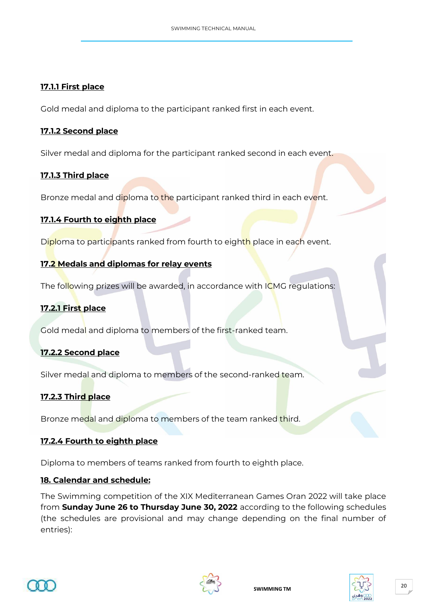#### <span id="page-19-0"></span>**17.1.1 First place**

Gold medal and diploma to the participant ranked first in each event.

#### <span id="page-19-1"></span>**17.1.2 Second place**

Silver medal and diploma for the participant ranked second in each event.

#### <span id="page-19-2"></span>**17.1.3 Third place**

Bronze medal and diploma to the participant ranked third in each event.

#### <span id="page-19-3"></span>**17.1.4 Fourth to eighth place**

Diploma to participants ranked from fourth to eighth place in each event.

#### <span id="page-19-4"></span>**17.2 Medals and diplomas for relay events**

The following prizes will be awarded, in accordance with ICMG regulations:

#### <span id="page-19-5"></span>**17.2.1 First place**

Gold medal and diploma to members of the first-ranked team.

#### <span id="page-19-6"></span>**17.2.2 Second place**

Silver medal and diploma to members of the second-ranked team.

#### <span id="page-19-7"></span>**17.2.3 Third place**

Bronze medal and diploma to members of the team ranked third.

#### <span id="page-19-8"></span>**17.2.4 Fourth to eighth place**

Diploma to members of teams ranked from fourth to eighth place.

#### <span id="page-19-9"></span>**18. Calendar and schedule:**

The Swimming competition of the XIX Mediterranean Games Oran 2022 will take place from **Sunday June 26 to Thursday June 30, 2022** according to the following schedules (the schedules are provisional and may change depending on the final number of entries):





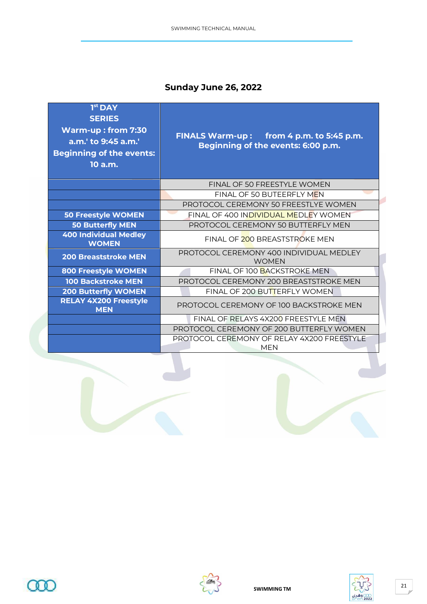# **Sunday June 26, 2022**

| $1st$ DAY<br><b>SERIES</b><br><b>Warm-up: from 7:30</b><br>a.m.' to 9:45 a.m.'<br><b>Beginning of the events:</b><br>$10$ a.m. | FINALS Warm-up: from 4 p.m. to 5:45 p.m.<br>Beginning of the events: 6:00 p.m. |  |  |
|--------------------------------------------------------------------------------------------------------------------------------|--------------------------------------------------------------------------------|--|--|
|                                                                                                                                | FINAL OF 50 FREESTYLE WOMEN                                                    |  |  |
|                                                                                                                                | FINAL OF 50 BUTEERFLY MEN                                                      |  |  |
|                                                                                                                                | PROTOCOL CEREMONY 50 FREESTLYE WOMEN                                           |  |  |
| <b>50 Freestyle WOMEN</b>                                                                                                      | FINAL OF 400 INDIVIDUAL MEDLEY WOMEN                                           |  |  |
| <b>50 Butterfly MEN</b>                                                                                                        | PROTOCOL CEREMONY 50 BUTTERFLY MEN                                             |  |  |
| <b>400 Individual Medley</b><br><b>WOMEN</b>                                                                                   | FINAL OF 200 BREASTSTROKE MEN                                                  |  |  |
| <b>200 Breaststroke MEN</b>                                                                                                    | PROTOCOL CEREMONY 400 INDIVIDUAL MEDLEY<br><b>WOMEN</b>                        |  |  |
| <b>800 Freestyle WOMEN</b>                                                                                                     | FINAL OF 100 BACKSTROKE MEN                                                    |  |  |
| <b>100 Backstroke MEN</b>                                                                                                      | PROTOCOL CEREMONY 200 BREASTSTROKE MEN                                         |  |  |
| <b>200 Butterfly WOMEN</b>                                                                                                     | FINAL OF 200 BUTTERFLY WOMEN                                                   |  |  |
| <b>RELAY 4X200 Freestyle</b><br><b>MEN</b>                                                                                     | PROTOCOL CEREMONY OF 100 BACKSTROKE MEN                                        |  |  |
|                                                                                                                                | FINAL OF RELAYS 4X200 FREESTYLE MEN                                            |  |  |
|                                                                                                                                | PROTOCOL CEREMONY OF 200 BUTTERFLY WOMEN                                       |  |  |
|                                                                                                                                | PROTOCOL CEREMONY OF RELAY 4X200 FREESTYLE<br><b>MEN</b>                       |  |  |





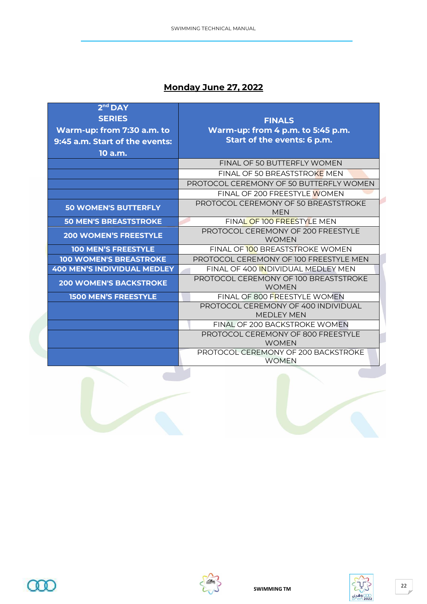# **Monday June 27, 2022**

| $2nd$ DAY                          |                                                          |  |  |  |
|------------------------------------|----------------------------------------------------------|--|--|--|
| <b>SERIES</b>                      | <b>FINALS</b>                                            |  |  |  |
| Warm-up: from 7:30 a.m. to         | Warm-up: from 4 p.m. to 5:45 p.m.                        |  |  |  |
| 9:45 a.m. Start of the events:     | Start of the events: 6 p.m.                              |  |  |  |
| 10 a.m.                            |                                                          |  |  |  |
|                                    | FINAL OF 50 BUTTERFLY WOMEN                              |  |  |  |
|                                    | FINAL OF 50 BREASTSTROKE MEN                             |  |  |  |
|                                    | <b>PROTOCOL CEREMONY OF 50 BUTTERELY WOMEN</b>           |  |  |  |
|                                    | FINAL OF 200 FREESTYLE WOMEN                             |  |  |  |
| <b>50 WOMEN'S BUTTERFLY</b>        | PROTOCOL CEREMONY OF 50 BREASTSTROKE<br><b>MEN</b>       |  |  |  |
| <b>50 MEN'S BREASTSTROKE</b>       | FINAL OF 100 FREESTYLE MEN                               |  |  |  |
| <b>200 WOMEN'S FREESTYLE</b>       | PROTOCOL CEREMONY OF 200 FREESTYLE<br><b>WOMEN</b>       |  |  |  |
| <b>100 MEN'S FREESTYLE</b>         | FINAL OF 100 BREASTSTROKE WOMEN                          |  |  |  |
| <b>100 WOMEN'S BREASTROKE</b>      | PROTOCOL CEREMONY OF 100 ERFESTYLE MEN                   |  |  |  |
| <b>400 MEN'S INDIVIDUAL MEDLEY</b> | FINAL OF 400 INDIVIDUAL MEDLEY MEN                       |  |  |  |
| <b>200 WOMEN'S BACKSTROKE</b>      | PROTOCOL CEREMONY OF 100 BREASTSTROKE<br><b>WOMEN</b>    |  |  |  |
| <b>1500 MEN'S FREESTYLE</b>        | FINAL OF 800 FREESTYLE WOMEN                             |  |  |  |
|                                    | PROTOCOL CEREMONY OF 400 INDIVIDUAL<br><b>MEDLEY MEN</b> |  |  |  |
|                                    | FINAL OF 200 BACKSTROKE WOMEN                            |  |  |  |
|                                    | PROTOCOL CEREMONY OF 800 FREESTYLE<br><b>WOMEN</b>       |  |  |  |
|                                    | PROTOCOL CEREMONY OF 200 BACKSTROKE<br><b>WOMEN</b>      |  |  |  |
|                                    |                                                          |  |  |  |





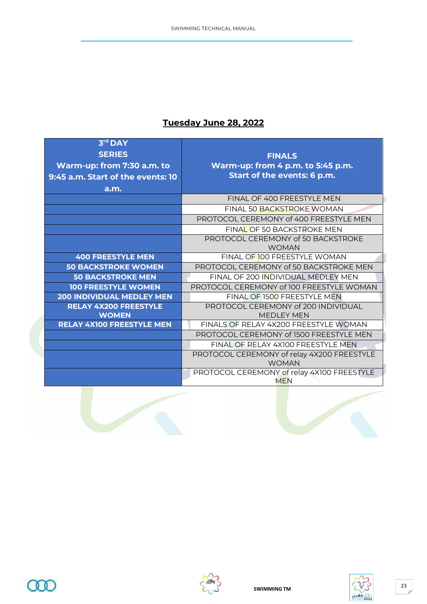#### **Tuesday June 28, 2022**

| 3 <sup>rd</sup> DAY                          |                                                           |
|----------------------------------------------|-----------------------------------------------------------|
| <b>SERIES</b>                                | <b>FINALS</b>                                             |
| Warm-up: from 7:30 a.m. to                   | Warm-up: from 4 p.m. to 5:45 p.m.                         |
| 9:45 a.m. Start of the events: 10            | Start of the events: 6 p.m.                               |
| a.m.                                         |                                                           |
|                                              | FINAL OF 400 FREESTYLE MEN                                |
|                                              | FINAL 50 BACKSTROKE WOMAN                                 |
|                                              | PROTOCOL CEREMONY of 400 FREESTYLE MEN                    |
|                                              | FINAL OF 50 BACKSTROKE MEN                                |
|                                              | PROTOCOL CEREMONY of 50 BACKSTROKE                        |
|                                              | <b>WOMAN</b>                                              |
| <b>400 FREESTYLE MEN</b>                     | FINAL OF 100 FREESTYLE WOMAN                              |
| <b>50 BACKSTROKE WOMEN</b>                   | PROTOCOL CEREMONY of 50 BACKSTROKE MEN                    |
| <b>50 BACKSTROKE MEN</b>                     | FINAL OF 200 INDIVIDUAL MEDLEY MEN                        |
| <b>100 FREESTYLE WOMEN</b>                   | PROTOCOL CEREMONY of 100 FREESTYLE WOMAN                  |
| <b>200 INDIVIDUAL MEDLEY MEN</b>             | FINAL OF 1500 FREESTYLE MEN                               |
| <b>RELAY 4X200 FREESTYLE</b><br><b>WOMEN</b> | PROTOCOL CEREMONY of 200 INDIVIDUAL<br><b>MEDI FY MEN</b> |
| <b>RELAY 4X100 FREESTYLE MEN</b>             | FINALS OF RELAY 4X200 FREESTYLE WOMAN                     |
|                                              | PROTOCOL CEREMONY of 1500 FREESTYLE MEN                   |
|                                              | FINAL OF RELAY 4X100 FREESTYLE MEN                        |
|                                              | PROTOCOL CEREMONY of relay 4X200 FREESTYLE                |
|                                              | <b>WOMAN</b>                                              |
|                                              | PROTOCOL CEREMONY of relay 4X100 FREESTYLE                |
|                                              | <b>MFN</b>                                                |





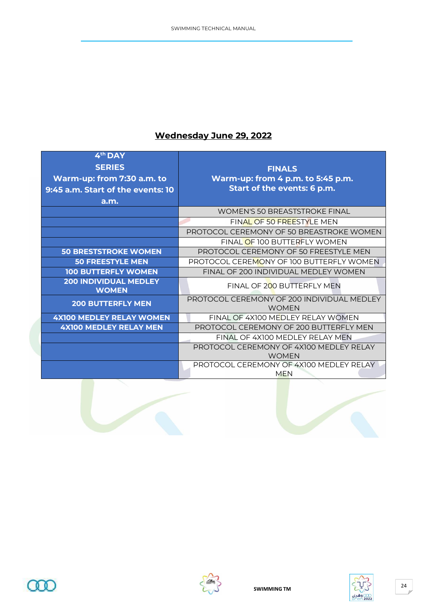# **Wednesday June 29, 2022**

| $4th$ DAY<br><b>SERIES</b>                                      | <b>FINALS</b>                                                    |
|-----------------------------------------------------------------|------------------------------------------------------------------|
| Warm-up: from 7:30 a.m. to<br>9:45 a.m. Start of the events: 10 | Warm-up: from 4 p.m. to 5:45 p.m.<br>Start of the events: 6 p.m. |
| a.m.                                                            |                                                                  |
|                                                                 | <b>WOMEN'S 50 BREASTSTROKE FINAL</b>                             |
|                                                                 | FINAL OF 50 FREESTYLE MEN                                        |
|                                                                 | PROTOCOL CEREMONY OF 50 BREASTROKE WOMEN                         |
|                                                                 | FINAL OF 100 BUTTERFLY WOMEN                                     |
| <b>50 BRESTSTROKE WOMEN</b>                                     | PROTOCOL CEREMONY OF 50 ERFESTYLE MEN                            |
| <b>50 FREESTYLE MEN</b>                                         | PROTOCOL CEREMONY OF 100 BUTTERFLY WOMEN                         |
| <b>100 BUTTERFLY WOMEN</b>                                      | FINAL OF 200 INDIVIDUAL MEDLEY WOMEN                             |
| <b>200 INDIVIDUAL MEDLEY</b><br><b>WOMEN</b>                    | FINAL OF 200 BUTTERFLY MEN                                       |
| <b>200 BUTTERFLY MEN</b>                                        | PROTOCOL CEREMONY OF 200 INDIVIDUAL MEDLEY<br><b>WOMEN</b>       |
| <b>4X100 MEDLEY RELAY WOMEN</b>                                 | FINAL OF 4X100 MFDI FY RFI AY WOMEN                              |
| <b>4X100 MEDLEY RELAY MEN</b>                                   | PROTOCOL CEREMONY OF 200 BUTTERFLY MEN                           |
|                                                                 | FINAL OF 4X100 MFDI FY RFI AY MFN                                |
|                                                                 | PROTOCOL CEREMONY OF 4X100 MEDLEY RELAY                          |
|                                                                 | <b>WOMEN</b>                                                     |
|                                                                 | PROTOCOL CEREMONY OF 4X100 MEDLEY RELAY<br><b>MEN</b>            |